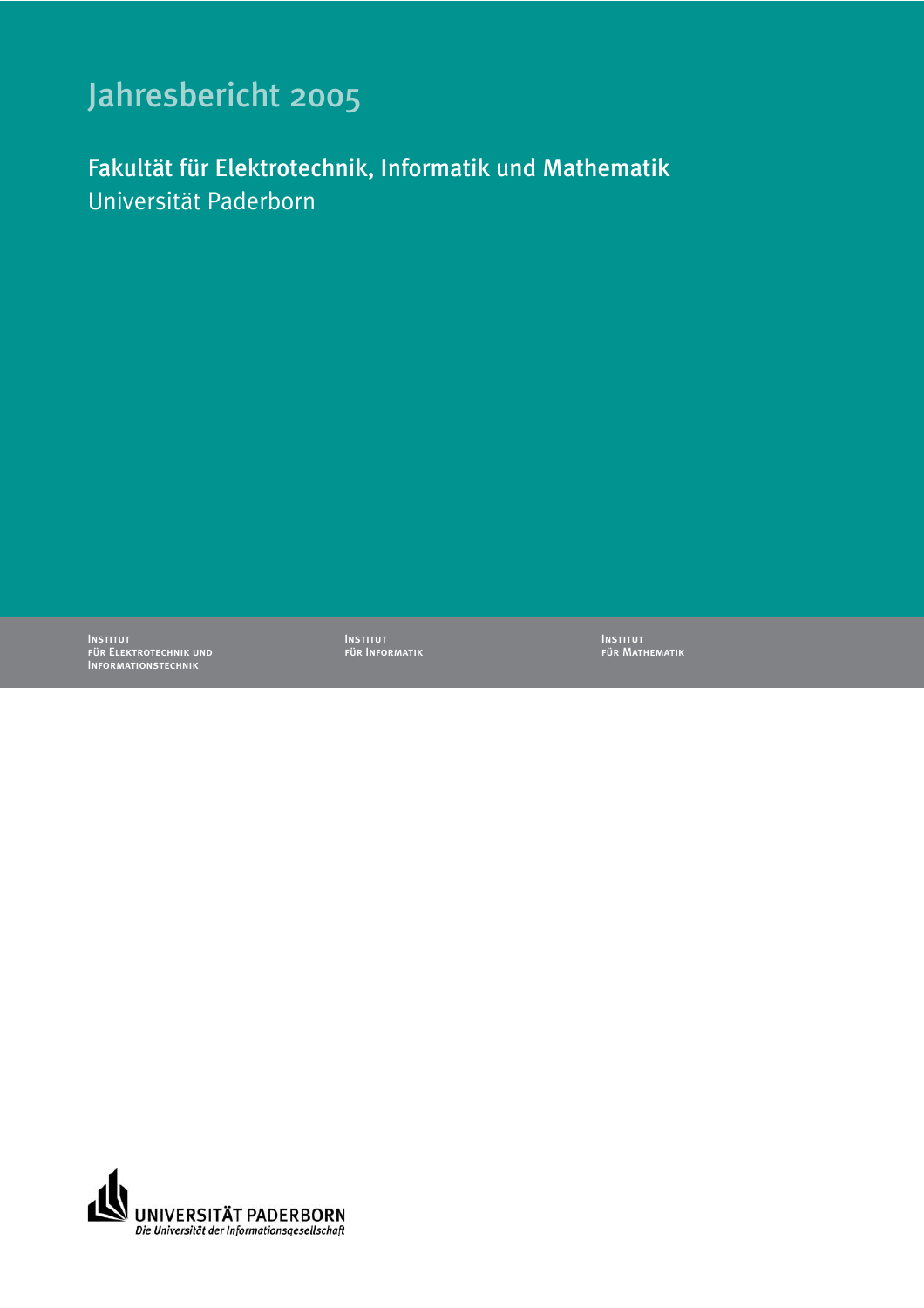## Jahresbericht 2005

Fakultät für Elektrotechnik, Informatik und Mathematik Universität Paderborn

Institut für Elektrotechnik und Informationstechnik

Institut für Informatik Institut für Mathematik

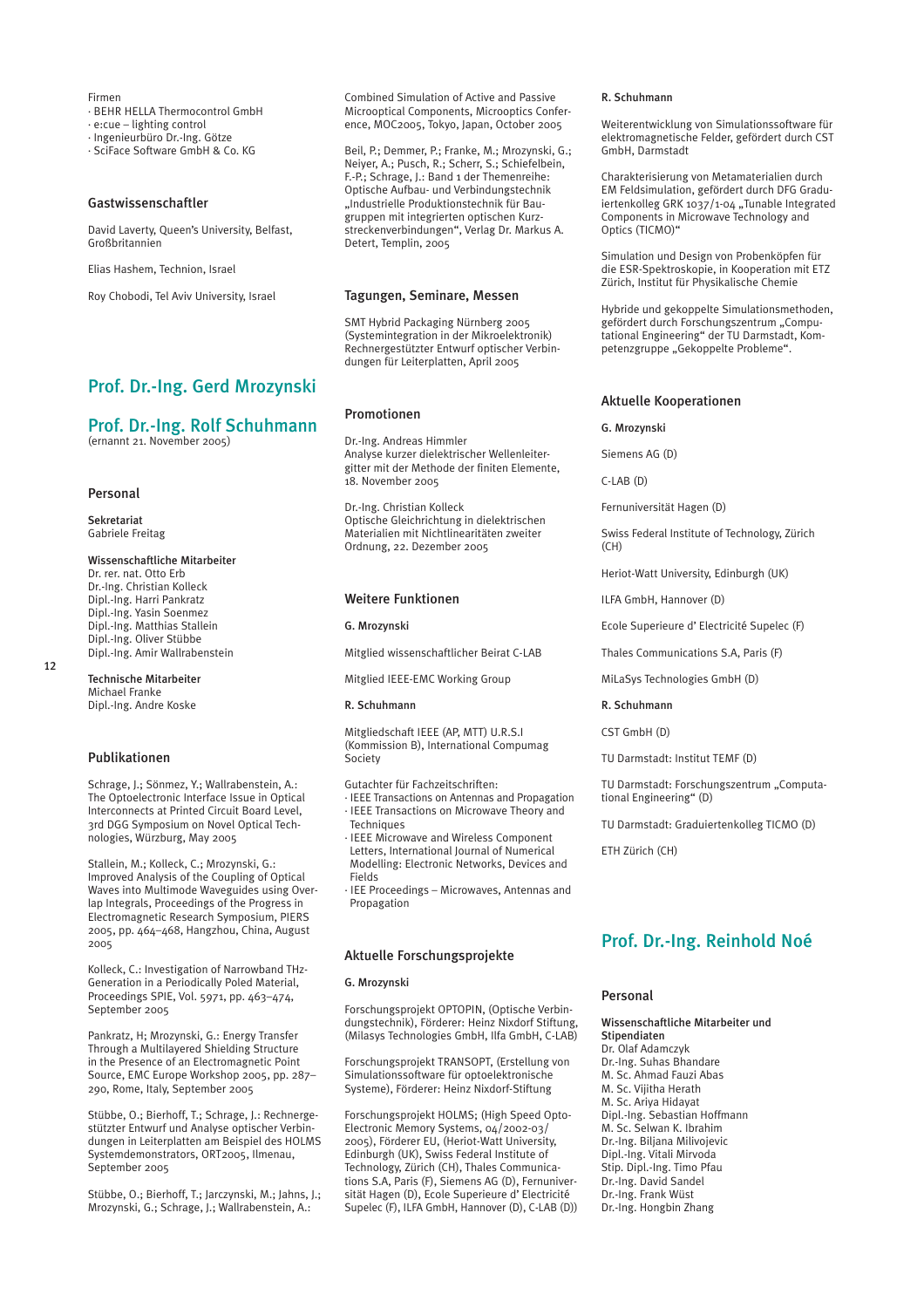Firmen · BEHR HELLA Thermocontrol GmbH

· e:cue – lighting control

· Ingenieurbüro Dr.-Ing. Götze

· SciFace Software GmbH & Co. KG

## Gastwissenschaftler

David Laverty, Queen's University, Belfast, Großbritannien

Elias Hashem, Technion, Israel

Roy Chobodi, Tel Aviv University, Israel

## Prof. Dr.-Ing. Gerd Mrozynski

## Prof. Dr.-Ing. Rolf Schuhmann

(ernannt 21. November 2005)

## Personal

12

Sekretariat Gabriele Freitag

Wissenschaftliche Mitarbeiter Dr. rer. nat. Otto Erb Dr.-Ing. Christian Kolleck Dipl.-Ing. Harri Pankratz Dipl.-Ing. Yasin Soenmez Dipl.-Ing. Matthias Stallein Dipl.-Ing. Oliver Stübbe Dipl.-Ing. Amir Wallrabenstein

Technische Mitarbeiter Michael Franke Dipl.-Ing. Andre Koske

## Publikationen

Schrage, J.; Sönmez, Y.; Wallrabenstein, A.: The Optoelectronic Interface Issue in Optical Interconnects at Printed Circuit Board Level, 3rd DGG Symposium on Novel Optical Technologies, Würzburg, May 2005

Stallein, M.; Kolleck, C.; Mrozynski, G.: Improved Analysis of the Coupling of Optical Waves into Multimode Waveguides using Overlap Integrals, Proceedings of the Progress in Electromagnetic Research Symposium, PIERS 2005, pp. 464–468, Hangzhou, China, August 2005

Kolleck, C.: Investigation of Narrowband THz-Generation in a Periodically Poled Material, Proceedings SPIE, Vol. 5971, pp. 463–474, September 2005

Pankratz, H; Mrozynski, G.: Energy Transfer Through a Multilayered Shielding Structure in the Presence of an Electromagnetic Point Source, EMC Europe Workshop 2005, pp. 287– 290, Rome, Italy, September 2005

Stübbe, O.; Bierhoff, T.; Schrage, J.: Rechnergestützter Entwurf und Analyse optischer Verbindungen in Leiterplatten am Beispiel des HOLMS Systemdemonstrators, ORT2005, Ilmenau, September 2005

Stübbe, O.; Bierhoff, T.; Jarczynski, M.; Jahns, J.; Mrozynski, G.; Schrage, J.; Wallrabenstein, A.:

Combined Simulation of Active and Passive Microoptical Components, Microoptics Conference, MOC2005, Tokyo, Japan, October 2005

Beil, P.; Demmer, P.; Franke, M.; Mrozynski, G.; Neiyer, A.; Pusch, R.; Scherr, S.; Schiefelbein, F.-P.; Schrage, J.: Band 1 der Themenreihe: Optische Aufbau- und Verbindungstechnik "Industrielle Produktionstechnik für Baugruppen mit integrierten optischen Kurzstreckenverbindungen", Verlag Dr. Markus A. Detert, Templin, 2005

## Tagungen, Seminare, Messen

SMT Hybrid Packaging Nürnberg 2005 (Systemintegration in der Mikroelektronik) Rechnergestützter Entwurf optischer Verbindungen für Leiterplatten, April 2005

## Promotionen

Dr.-Ing. Andreas Himmler Analyse kurzer dielektrischer Wellenleitergitter mit der Methode der finiten Elemente, 18. November 2005

Dr.-Ing. Christian Kolleck Optische Gleichrichtung in dielektrischen Materialien mit Nichtlinearitäten zweiter Ordnung, 22. Dezember 2005

#### Weitere Funktionen

#### G. Mrozynski

Mitglied wissenschaftlicher Beirat C-LAB

Mitglied IEEE-EMC Working Group

## R. Schuhmann

Mitgliedschaft IEEE (AP, MTT) U.R.S.I (Kommission B), International Compumag Society

Gutachter für Fachzeitschriften:

- · IEEE Transactions on Antennas and Propagation · IEEE Transactions on Microwave Theory and Techniques
- · IEEE Microwave and Wireless Component Letters, International Journal of Numerical Modelling: Electronic Networks, Devices and Fields

· IEE Proceedings – Microwaves, Antennas and Propagation

## Aktuelle Forschungsprojekte

#### G. Mrozynski

Forschungsprojekt OPTOPIN, (Optische Verbindungstechnik), Förderer: Heinz Nixdorf Stiftung, (Milasys Technologies GmbH, Ilfa GmbH, C-LAB)

Forschungsprojekt TRANSOPT, (Erstellung von Simulationssoftware für optoelektronische Systeme), Förderer: Heinz Nixdorf-Stiftung

Forschungsprojekt HOLMS; (High Speed Opto-Electronic Memory Systems, 04/2002-03/ 2005), Förderer EU, (Heriot-Watt University, Edinburgh (UK), Swiss Federal Institute of Technology, Zürich (CH), Thales Communications S.A, Paris (F), Siemens AG (D), Fernuniversität Hagen (D), Ecole Superieure d' Electricité Supelec (F), ILFA GmbH, Hannover (D), C-LAB (D))

### R. Schuhmann

Weiterentwicklung von Simulationssoftware für elektromagnetische Felder, gefördert durch CST GmbH, Darmstadt

Charakterisierung von Metamaterialien durch EM Feldsimulation, gefördert durch DFG Graduiertenkolleg GRK 1037/1-04 "Tunable Integrated Components in Microwave Technology and Optics (TICMO)"

Simulation und Design von Probenköpfen für die ESR-Spektroskopie, in Kooperation mit ETZ Zürich, Institut für Physikalische Chemie

Hybride und gekoppelte Simulationsmethoden, gefördert durch Forschungszentrum "Computational Engineering" der TU Darmstadt, Kompetenzgruppe "Gekoppelte Probleme".

## Aktuelle Kooperationen

#### G. Mrozynski

Siemens AG (D)

C-LAB (D)

Fernuniversität Hagen (D)

Swiss Federal Institute of Technology, Zürich (CH)

Heriot-Watt University, Edinburgh (UK)

ILFA GmbH, Hannover (D)

Ecole Superieure d' Electricité Supelec (F)

Thales Communications S.A, Paris (F)

MiLaSys Technologies GmbH (D)

## R. Schuhmann

CST GmbH (D)

TU Darmstadt: Institut TEMF (D)

TU Darmstadt: Forschungszentrum "Computational Engineering" (D)

TU Darmstadt: Graduiertenkolleg TICMO (D)

ETH Zürich (CH)

## Prof. Dr.-Ing. Reinhold Noé

## Personal

Wissenschaftliche Mitarbeiter und Stipendiaten Dr. Olaf Adamczyk Dr.-Ing. Suhas Bhandare M. Sc. Ahmad Fauzi Abas M. Sc. Vijitha Herath M. Sc. Ariya Hidayat Dipl.-Ing. Sebastian Hoffmann M. Sc. Selwan K. Ibrahim Dr.-Ing. Biljana Milivojevic Dipl.-Ing. Vitali Mirvoda Stip. Dipl.-Ing. Timo Pfau Dr.-Ing. David Sandel Dr.-Ing. Frank Wüst Dr.-Ing. Hongbin Zhang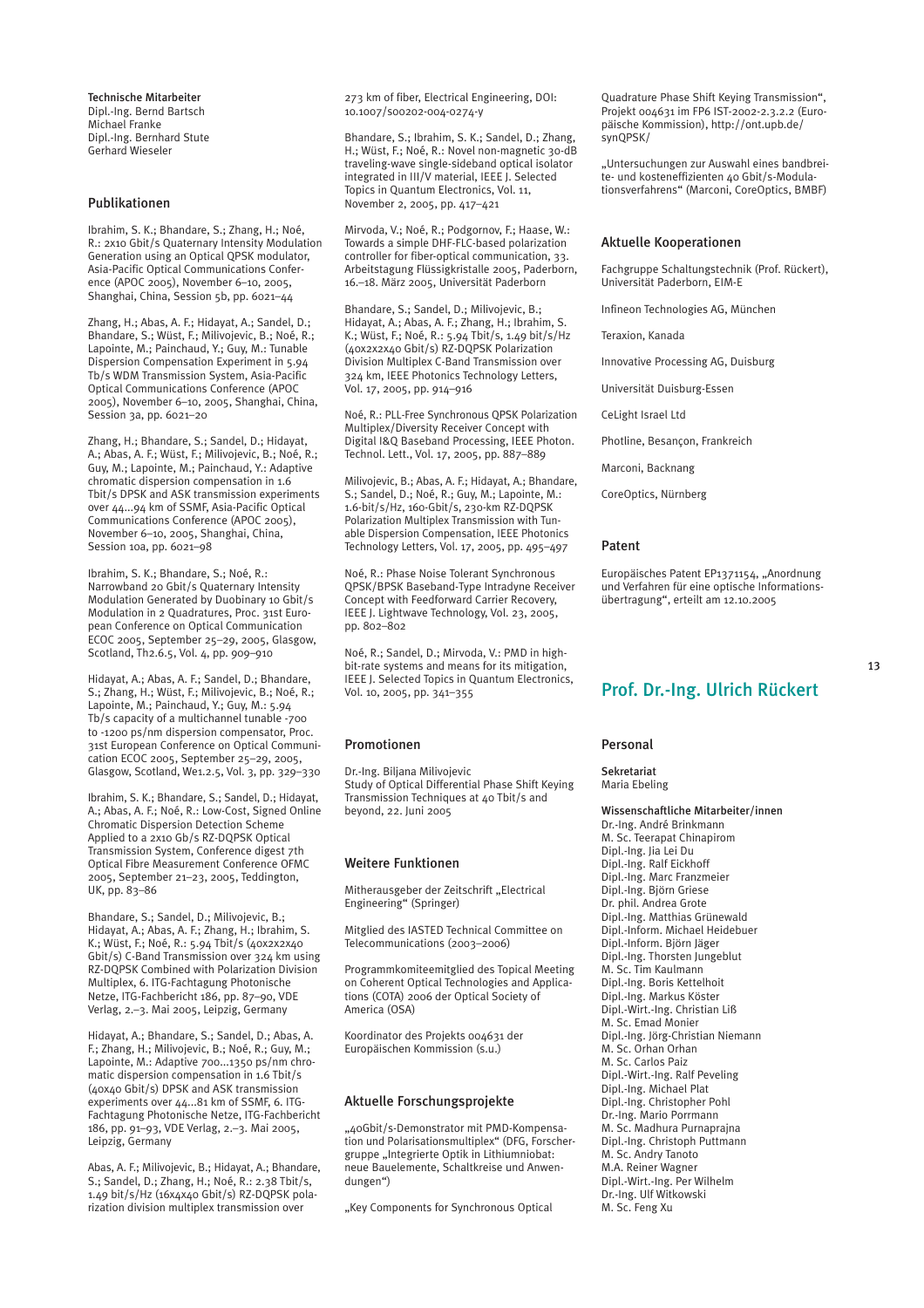Technische Mitarbeiter Dipl.-Ing. Bernd Bartsch Michael Franke Dipl.-Ing. Bernhard Stute Gerhard Wieseler

## Publikationen

Ibrahim, S. K.; Bhandare, S.; Zhang, H.; Noé, R.: 2x10 Gbit/s Quaternary Intensity Modulation Generation using an Optical QPSK modulator, Asia-Pacific Optical Communications Conference (APOC 2005), November 6–10, 2005, Shanghai, China, Session 5b, pp. 6021–44

Zhang, H.; Abas, A. F.; Hidayat, A.; Sandel, D.; Bhandare, S.; Wüst, F.; Milivojevic, B.; Noé, R.; Lapointe, M.; Painchaud, Y.; Guy, M.: Tunable Dispersion Compensation Experiment in 5.94 Tb/s WDM Transmission System, Asia-Pacific Optical Communications Conference (APOC 2005), November 6–10, 2005, Shanghai, China, Session 3a, pp. 6021–20

Zhang, H.; Bhandare, S.; Sandel, D.; Hidayat, A.; Abas, A. F.; Wüst, F.; Milivojevic, B.; Noé, R.; Guy, M.; Lapointe, M.; Painchaud, Y.: Adaptive chromatic dispersion compensation in 1.6 Tbit/s DPSK and ASK transmission experiments over 44...94 km of SSMF, Asia-Pacific Optical Communications Conference (APOC 2005), November 6–10, 2005, Shanghai, China, Session 10a, pp. 6021–98

Ibrahim, S. K.; Bhandare, S.; Noé, R.: Narrowband 20 Gbit/s Quaternary Intensity Modulation Generated by Duobinary 10 Gbit/s Modulation in 2 Quadratures, Proc. 31st European Conference on Optical Communication ECOC 2005, September 25–29, 2005, Glasgow, Scotland, Th2.6.5, Vol. 4, pp. 909–910

Hidayat, A.; Abas, A. F.; Sandel, D.; Bhandare, S.; Zhang, H.; Wüst, F.; Milivojevic, B.; Noé, R.; Lapointe, M.; Painchaud, Y.; Guy, M.: 5.94 Tb/s capacity of a multichannel tunable -700 to -1200 ps/nm dispersion compensator, Proc. 31st European Conference on Optical Communication ECOC 2005, September 25–29, 2005, Glasgow, Scotland, We1.2.5, Vol. 3, pp. 329–330

Ibrahim, S. K.; Bhandare, S.; Sandel, D.; Hidayat, A.; Abas, A. F.; Noé, R.: Low-Cost, Signed Online Chromatic Dispersion Detection Scheme Applied to a 2x10 Gb/s RZ-DQPSK Optical Transmission System, Conference digest 7th Optical Fibre Measurement Conference OFMC 2005, September 21–23, 2005, Teddington, UK, pp. 83–86

Bhandare, S.; Sandel, D.; Milivojevic, B.; Hidayat, A.; Abas, A. F.; Zhang, H.; Ibrahim, S. K.; Wüst, F.; Noé, R.: 5.94 Tbit/s (40x2x2x40 Gbit/s) C-Band Transmission over 324 km using RZ-DQPSK Combined with Polarization Division Multiplex, 6. ITG-Fachtagung Photonische Netze, ITG-Fachbericht 186, pp. 87–90, VDE Verlag, 2.–3. Mai 2005, Leipzig, Germany

Hidayat, A.; Bhandare, S.; Sandel, D.; Abas, A. F.; Zhang, H.; Milivojevic, B.; Noé, R.; Guy, M.; Lapointe, M.: Adaptive 700...1350 ps/nm chromatic dispersion compensation in 1.6 Tbit/s (40x40 Gbit/s) DPSK and ASK transmission experiments over 44...81 km of SSMF, 6. ITG-Fachtagung Photonische Netze, ITG-Fachbericht 186, pp. 91–93, VDE Verlag, 2.–3. Mai 2005, Leipzig, Germany

Abas, A. F.; Milivojevic, B.; Hidayat, A.; Bhandare, S.; Sandel, D.; Zhang, H.; Noé, R.: 2.38 Tbit/s, 1.49 bit/s/Hz (16x4x40 Gbit/s) RZ-DQPSK polarization division multiplex transmission over

273 km of fiber, Electrical Engineering, DOI: 10.1007/s00202-004-0274-y

Bhandare, S.; Ibrahim, S. K.; Sandel, D.; Zhang, H.; Wüst, F.; Noé, R.: Novel non-magnetic 30-dB traveling-wave single-sideband optical isolator integrated in III/V material, IEEE J. Selected Topics in Quantum Electronics, Vol. 11, November 2, 2005, pp. 417–421

Mirvoda, V.; Noé, R.; Podgornov, F.; Haase, W.: Towards a simple DHF-FLC-based polarization controller for fiber-optical communication, 33. Arbeitstagung Flüssigkristalle 2005, Paderborn, 16.–18. März 2005, Universität Paderborn

Bhandare, S.; Sandel, D.; Milivojevic, B.; Hidayat, A.; Abas, A. F.; Zhang, H.; Ibrahim, S. K.; Wüst, F.; Noé, R.: 5.94 Tbit/s, 1.49 bit/s/Hz (40x2x2x40 Gbit/s) RZ-DQPSK Polarization Division Multiplex C-Band Transmission over 324 km, IEEE Photonics Technology Letters, Vol. 17, 2005, pp. 914–916

Noé, R.: PLL-Free Synchronous QPSK Polarization Multiplex/Diversity Receiver Concept with Digital I&Q Baseband Processing, IEEE Photon. Technol. Lett., Vol. 17, 2005, pp. 887–889

Milivojevic, B.; Abas, A. F.; Hidayat, A.; Bhandare, S.; Sandel, D.; Noé, R.; Guy, M.; Lapointe, M.: 1.6-bit/s/Hz, 160-Gbit/s, 230-km RZ-DQPSK Polarization Multiplex Transmission with Tunable Dispersion Compensation, IEEE Photonics Technology Letters, Vol. 17, 2005, pp. 495–497

Noé, R.: Phase Noise Tolerant Synchronous QPSK/BPSK Baseband-Type Intradyne Receiver Concept with Feedforward Carrier Recovery, IEEE J. Lightwave Technology, Vol. 23, 2005, pp. 802–802

Noé, R.; Sandel, D.; Mirvoda, V.: PMD in highbit-rate systems and means for its mitigation, IEEE J. Selected Topics in Quantum Electronics, Vol. 10, 2005, pp. 341–355

## Promotionen

Dr.-Ing. Biljana Milivojevic Study of Optical Differential Phase Shift Keying Transmission Techniques at 40 Tbit/s and beyond, 22. Juni 2005

## Weitere Funktionen

Mitherausgeber der Zeitschrift "Electrical Engineering" (Springer)

Mitglied des IASTED Technical Committee on Telecommunications (2003–2006)

Programmkomiteemitglied des Topical Meeting on Coherent Optical Technologies and Applications (COTA) 2006 der Optical Society of America (OSA)

Koordinator des Projekts 004631 der Europäischen Kommission (s.u.)

## Aktuelle Forschungsprojekte

"40Gbit/s-Demonstrator mit PMD-Kompensation und Polarisationsmultiplex" (DFG, Forschergruppe "Integrierte Optik in Lithiumniobat: neue Bauelemente, Schaltkreise und Anwendungen")

"Key Components for Synchronous Optical

Quadrature Phase Shift Keying Transmission", Projekt 004631 im FP6 IST-2002-2.3.2.2 (Europäische Kommission), http://ont.upb.de/ synQPSK/

"Untersuchungen zur Auswahl eines bandbreite- und kosteneffizienten 40 Gbit/s-Modulationsverfahrens" (Marconi, CoreOptics, BMBF)

## Aktuelle Kooperationen

Fachgruppe Schaltungstechnik (Prof. Rückert), Universität Paderborn, EIM-E

Infineon Technologies AG, München

Teraxion, Kanada

Innovative Processing AG, Duisburg

Universität Duisburg-Essen

CeLight Israel Ltd

Photline, Besançon, Frankreich

Marconi, Backnang

CoreOptics, Nürnberg

### Patent

Europäisches Patent EP1371154, "Anordnung und Verfahren für eine optische Informationsübertragung", erteilt am 12.10.2005

## Prof. Dr.-Ing. Ulrich Rückert

### Personal

Sekretariat Maria Ebeling

Wissenschaftliche Mitarbeiter/innen Dr.-Ing. André Brinkmann M. Sc. Teerapat Chinapirom Dipl.-Ing. Jia Lei Du Dipl.-Ing. Ralf Eickhoff Dipl.-Ing. Marc Franzmeier Dipl.-Ing. Björn Griese Dr. phil. Andrea Grote Dipl.-Ing. Matthias Grünewald Dipl.-Inform. Michael Heidebuer Dipl.-Inform. Björn Jäger Dipl.-Ing. Thorsten Jungeblut M. Sc. Tim Kaulmann Dipl.-Ing. Boris Kettelhoit Dipl.-Ing. Markus Köster Dipl.-Wirt.-Ing. Christian Liß M. Sc. Emad Monier Dipl.-Ing. Jörg-Christian Niemann M. Sc. Orhan Orhan M. Sc. Carlos Paiz Dipl.-Wirt.-Ing. Ralf Peveling Dipl.-Ing. Michael Plat Dipl.-Ing. Christopher Pohl Dr.-Ing. Mario Porrmann M. Sc. Madhura Purnaprajna Dipl.-Ing. Christoph Puttmann M. Sc. Andry Tanoto M.A. Reiner Wagner Dipl.-Wirt.-Ing. Per Wilhelm Dr.-Ing. Ulf Witkowski M. Sc. Feng Xu